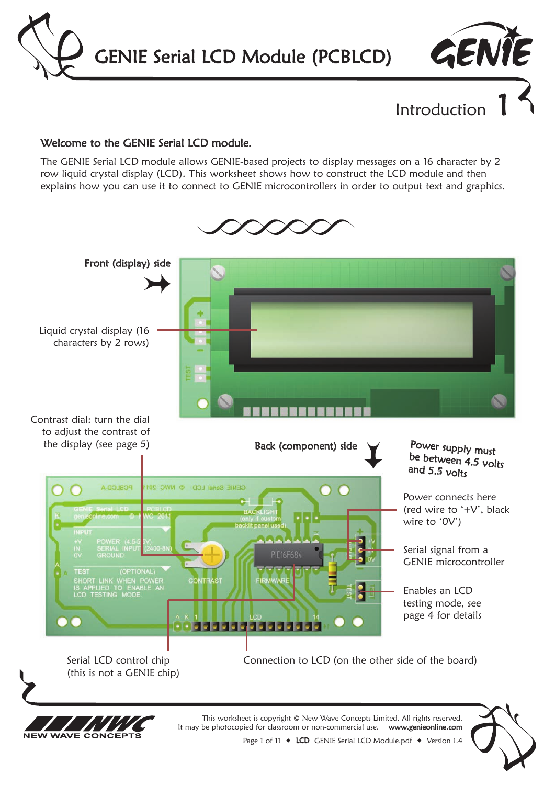GENIE Serial LCD Module (PCBLCD)



Introduction

#### Welcome to the GENIE Serial LCD module.

The GENIE Serial LCD module allows GENIE-based projects to display messages on a 16 character by 2 row liquid crystal display (LCD). This worksheet shows how to construct the LCD module and then explains how you can use it to connect to GENIE microcontrollers in order to output text and graphics.



Page 1 of 11  $\bullet$  LCD GENIE Serial LCD Module.pdf  $\bullet$  Version 1.4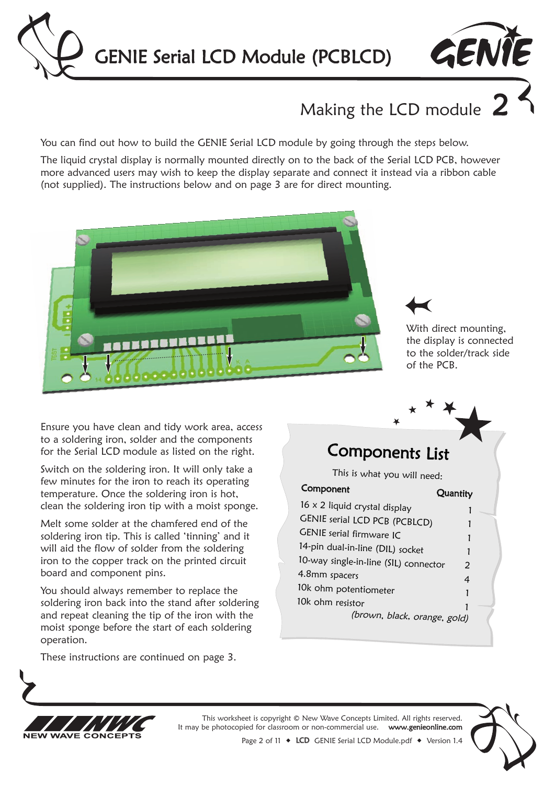



# Making the LCD module  $2$

You can find out how to build the GENIE Serial LCD module by going through the steps below.

The liquid crystal display is normally mounted directly on to the back of the Serial LCD PCB, however more advanced users may wish to keep the display separate and connect it instead via a ribbon cable (not supplied). The instructions below and on page 3 are for direct mounting.





With direct mounting, the display is connected to the solder/track side of the PCB.

Ensure you have clean and tidy work area, access to a soldering iron, solder and the components for the Serial LCD module as listed on the right.

Switch on the soldering iron. It will only take a few minutes for the iron to reach its operating temperature. Once the soldering iron is hot, clean the soldering iron tip with a moist sponge.

Melt some solder at the chamfered end of the soldering iron tip. This is called 'tinning' and it will aid the flow of solder from the soldering iron to the copper track on the printed circuit board and component pins.

You should always remember to replace the soldering iron back into the stand after soldering and repeat cleaning the tip of the iron with the moist sponge before the start of each soldering operation.

These instructions are continued on page 3.

### Components List

This is what you will need:

| Component                             | Quantity |  |
|---------------------------------------|----------|--|
| 16 x 2 liquid crystal display         |          |  |
| <b>GENIE serial LCD PCB (PCBLCD)</b>  |          |  |
| GENIE serial firmware IC              |          |  |
| 14-pin dual-in-line (DIL) socket      |          |  |
| 10-way single-in-line (SIL) connector | 2        |  |
| 4.8mm spacers                         | 4        |  |
| 10k ohm potentiometer                 |          |  |
| 10k ohm resistor                      |          |  |
| (brown, black, orange, gold)          |          |  |



This worksheet is copyright © New Wave Concepts Limited. All rights reserved. It may be photocopied for classroom or non-commercial use. www.genieonline.com

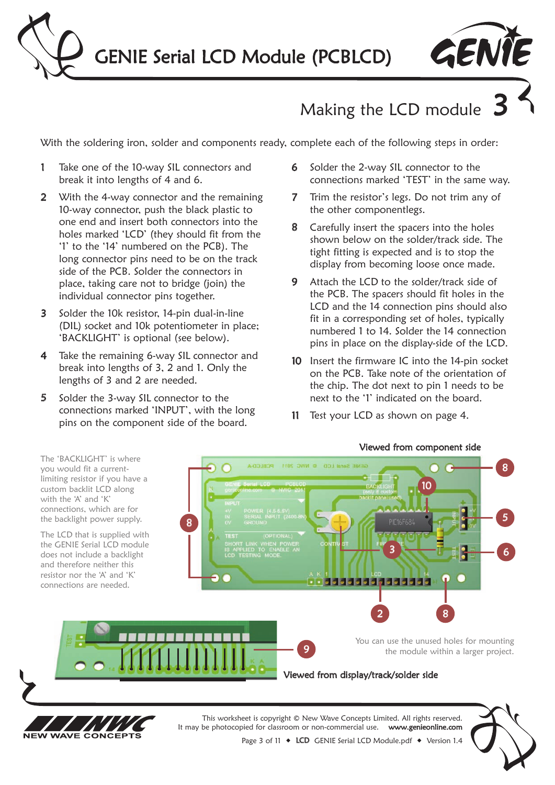



# Making the LCD module

With the soldering iron, solder and components ready, complete each of the following steps in order:

- 1 Take one of the 10-way SIL connectors and break it into lengths of 4 and 6.
- 2 With the 4-way connector and the remaining 10-way connector, push the black plastic to one end and insert both connectors into the holes marked 'LCD' (they should fit from the '1' to the '14' numbered on the PCB). The long connector pins need to be on the track side of the PCB. Solder the connectors in place, taking care not to bridge (join) the individual connector pins together.
- 3 Solder the 10k resistor, 14-pin dual-in-line (DIL) socket and 10k potentiometer in place; 'BACKLIGHT' is optional (see below).
- 4 Take the remaining 6-way SIL connector and break into lengths of 3, 2 and 1. Only the lengths of 3 and 2 are needed.
- 5 Solder the 3-way SIL connector to the connections marked 'INPUT', with the long pins on the component side of the board.
- 6 Solder the 2-way SIL connector to the connections marked 'TEST' in the same way.
- 7 Trim the resistor's legs. Do not trim any of the other componentlegs.
- 8 Carefully insert the spacers into the holes shown below on the solder/track side. The tight fitting is expected and is to stop the display from becoming loose once made.
- 9 Attach the LCD to the solder/track side of the PCB. The spacers should fit holes in the LCD and the 14 connection pins should also fit in a corresponding set of holes, typically numbered 1 to 14. Solder the 14 connection pins in place on the display-side of the LCD.
- 10 Insert the firmware IC into the 14-pin socket on the PCB. Take note of the orientation of the chip. The dot next to pin 1 needs to be next to the '1' indicated on the board.
- 11 Test your LCD as shown on page 4.

### Viewed from component side





It may be photocopied for classroom or non-commercial use. www.genieonline.com



Page 3 of 11  $\bullet$  LCD GENIE Serial LCD Module.pdf  $\bullet$  Version 1.4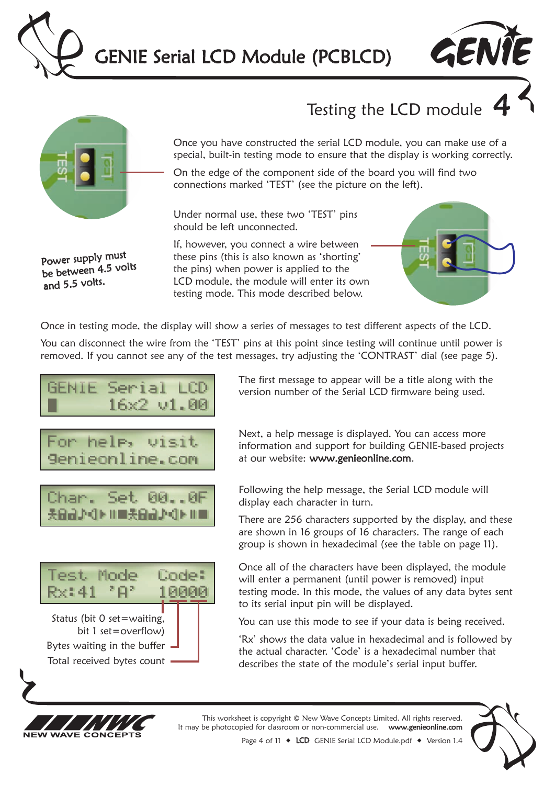



### Testing the LCD module



Power supply must be between 4.5 volts

and 5.5 volts.

Once you have constructed the serial LCD module, you can make use of a special, built-in testing mode to ensure that the display is working correctly.

On the edge of the component side of the board you will find two connections marked 'TEST' (see the picture on the left).

Under normal use, these two 'TEST' pins should be left unconnected.

If, however, you connect a wire between these pins (this is also known as 'shorting' the pins) when power is applied to the LCD module, the module will enter its own testing mode. This mode described below.



Once in testing mode, the display will show a series of messages to test different aspects of the LCD.

You can disconnect the wire from the 'TEST' pins at this point since testing will continue until power is removed. If you cannot see any of the test messages, try adjusting the 'CONTRAST' dial (see page 5).

$$
\begin{array}{ll}\n\text{GENIE} & \text{Serial LCD} \\
\blacksquare & 16 \times 2 \text{ v1.00}\n\end{array}
$$







Next, a help message is displayed. You can access more information and support for building GENIE-based projects at our website: www.genieonline.com.

Following the help message, the Serial LCD module will display each character in turn.

There are 256 characters supported by the display, and these are shown in 16 groups of 16 characters. The range of each group is shown in hexadecimal (see the table on page 11).

Once all of the characters have been displayed, the module will enter a permanent (until power is removed) input testing mode. In this mode, the values of any data bytes sent to its serial input pin will be displayed.

You can use this mode to see if your data is being received.

'Rx' shows the data value in hexadecimal and is followed by the actual character. 'Code' is a hexadecimal number that describes the state of the module's serial input buffer.



This worksheet is copyright © New Wave Concepts Limited. All rights reserved. It may be photocopied for classroom or non-commercial use. www.genieonline.com



Page 4 of 11  $\bullet$  LCD GENIE Serial LCD Module.pdf  $\bullet$  Version 1.4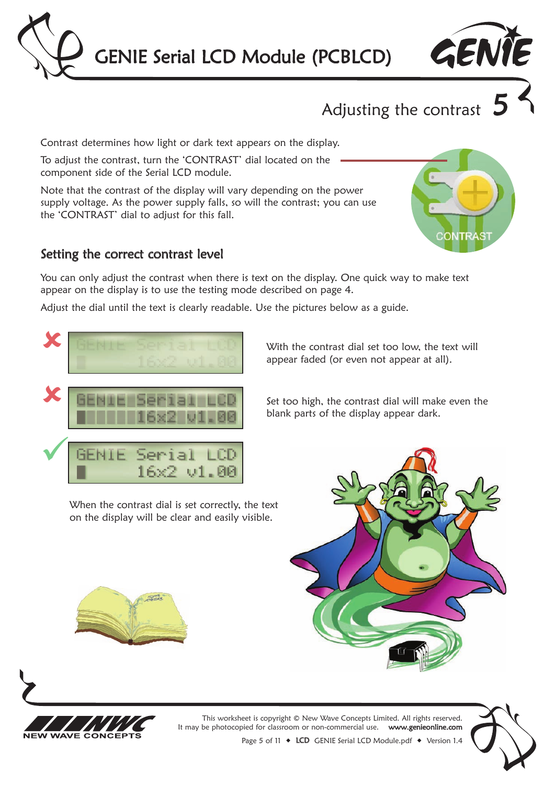



Contrast determines how light or dark text appears on the display.

To adjust the contrast, turn the 'CONTRAST' dial located on the component side of the Serial LCD module.

Note that the contrast of the display will vary depending on the power supply voltage. As the power supply falls, so will the contrast; you can use the 'CONTRAST' dial to adjust for this fall.

#### Setting the correct contrast level

You can only adjust the contrast when there is text on the display. One quick way to make text appear on the display is to use the testing mode described on page 4.

Adjust the dial until the text is clearly readable. Use the pictures below as a guide.



When the contrast dial is set correctly, the text on the display will be clear and easily visible.







This worksheet is copyright © New Wave Concepts Limited. All rights reserved. It may be photocopied for classroom or non-commercial use. www.genieonline.com

Page 5 of 11  $\bullet$  LCD GENIE Serial LCD Module.pdf  $\bullet$  Version 1.4



With the contrast dial set too low, the text will appear faded (or even not appear at all).

Set too high, the contrast dial will make even the blank parts of the display appear dark.



GENTE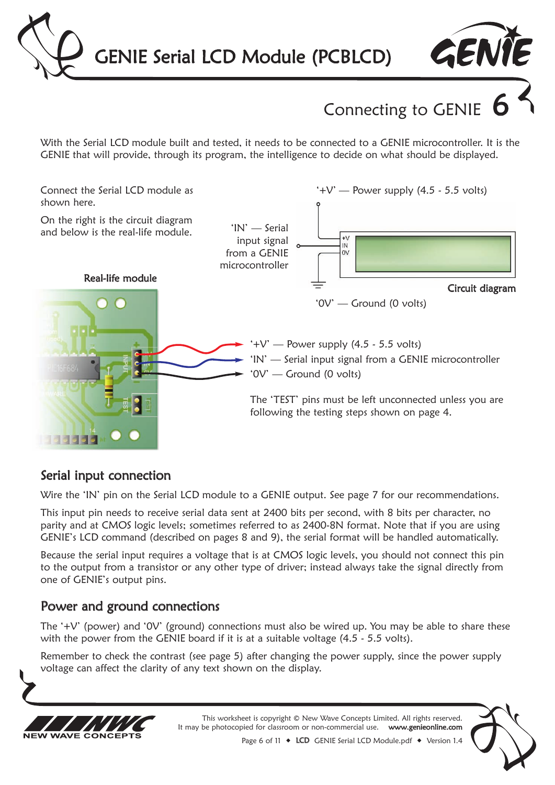



Connecting to GENIE

With the Serial LCD module built and tested, it needs to be connected to a GENIE microcontroller. It is the GENIE that will provide, through its program, the intelligence to decide on what should be displayed.



### Serial input connection

Wire the 'IN' pin on the Serial LCD module to a GENIE output. See page 7 for our recommendations.

This input pin needs to receive serial data sent at 2400 bits per second, with 8 bits per character, no parity and at CMOS logic levels; sometimes referred to as 2400-8N format. Note that if you are using GENIE's LCD command (described on pages 8 and 9), the serial format will be handled automatically.

Because the serial input requires a voltage that is at CMOS logic levels, you should not connect this pin to the output from a transistor or any other type of driver; instead always take the signal directly from one of GENIE's output pins.

### Power and ground connections

The '+V' (power) and '0V' (ground) connections must also be wired up. You may be able to share these with the power from the GENIE board if it is at a suitable voltage (4.5 - 5.5 volts).

Remember to check the contrast (see page 5) after changing the power supply, since the power supply voltage can affect the clarity of any text shown on the display.



This worksheet is copyright © New Wave Concepts Limited. All rights reserved. It may be photocopied for classroom or non-commercial use. www.genieonline.com



Page 6 of 11  $\bullet$  LCD GENIE Serial LCD Module.pdf  $\bullet$  Version 1.4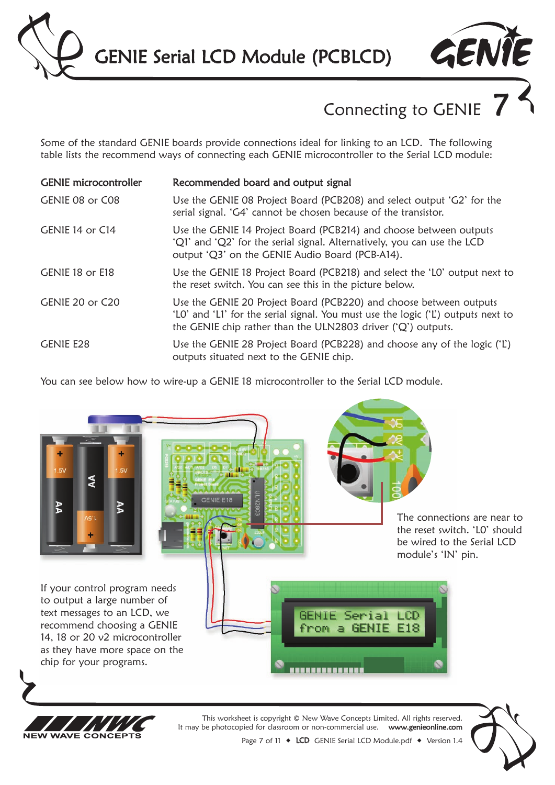GENIE Serial LCD Module (PCBLCD)



## Connecting to GENIE

Some of the standard GENIE boards provide connections ideal for linking to an LCD. The following table lists the recommend ways of connecting each GENIE microcontroller to the Serial LCD module:

| <b>GENIE</b> microcontroller | Recommended board and output signal                                                                                                                                                                                     |
|------------------------------|-------------------------------------------------------------------------------------------------------------------------------------------------------------------------------------------------------------------------|
| GENIE 08 or C08              | Use the GENIE 08 Project Board (PCB208) and select output 'G2' for the<br>serial signal. 'G4' cannot be chosen because of the transistor.                                                                               |
| GENIE 14 or C14              | Use the GENIE 14 Project Board (PCB214) and choose between outputs<br>'Q1' and 'Q2' for the serial signal. Alternatively, you can use the LCD<br>output 'Q3' on the GENIE Audio Board (PCB-A14).                        |
| GENIE 18 or E18              | Use the GENIE 18 Project Board (PCB218) and select the 'LO' output next to<br>the reset switch. You can see this in the picture below.                                                                                  |
| GENIE 20 or C20              | Use the GENIE 20 Project Board (PCB220) and choose between outputs<br>'LO' and 'LI' for the serial signal. You must use the logic ('L') outputs next to<br>the GENIE chip rather than the ULN2803 driver ('Q') outputs. |
| <b>GENIE E28</b>             | Use the GENIE 28 Project Board (PCB228) and choose any of the logic ('L')<br>outputs situated next to the GENIE chip.                                                                                                   |

You can see below how to wire-up a GENIE 18 microcontroller to the Serial LCD module.

**NFW** 

**WAVE CONCEPTS** 





Page 7 of 11  $\bullet$  LCD GENIE Serial LCD Module.pdf  $\bullet$  Version 1.4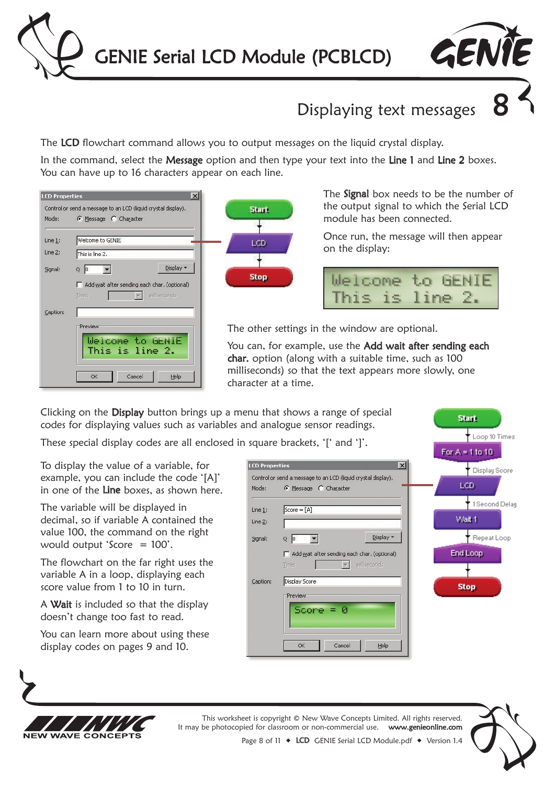



### Displaying text messages 8

The LCD flowchart command allows you to output messages on the liquid crystal display.

In the command, select the Message option and then type your text into the Line 1 and Line 2 boxes. You can have up to 16 characters appear on each line.





The **Signal** box needs to be the number of the output signal to which the Serial LCD module has been connected.

Once run, the message will then appear on the display:

|                 | Welcome to GENIE |
|-----------------|------------------|
| This is line 2. |                  |

**Start** 

 $\downarrow$  Loop 10 Times

The other settings in the window are optional.

You can, for example, use the Add wait after sending each char. option (along with a suitable time, such as 100 milliseconds) so that the text appears more slowly, one character at a time.

Clicking on the Display button brings up a menu that shows a range of special codes for displaying values such as variables and analogue sensor readings.

These special display codes are all enclosed in square brackets. 'I' and '1'

To display the value of a variable, for example, you can include the code '[A]' in one of the Line boxes, as shown here.

The variable will be displayed in decimal, so if variable A contained the value 100, the command on the right would output 'Score = 100'.

The flowchart on the far right uses the variable A in a loop, displaying each score value from 1 to 10 in turn.

A Wait is included so that the display doesn't change too fast to read.

You can learn more about using these display codes on pages 9 and 10.

|                       | $square$ Didentis, $ $ and $ $ .                                                       | For $A = 1$ to 10    |
|-----------------------|----------------------------------------------------------------------------------------|----------------------|
| <b>LCD Properties</b> | $\vert x \vert$                                                                        | <b>Display Score</b> |
| Mode:                 | Control or send a message to an LCD (liquid crystal display).<br>C Message C Character | LCD.                 |
| Line $1$ :            | $Score = [A]$                                                                          | 1 Second Delar       |
| Line 2:               |                                                                                        | Wait 1               |
| Signal:               | Display *<br>$Q$ $ 0 $                                                                 | Repeat Loop          |
|                       | Add wait after sending each char. (optional)                                           | End Loop             |
| Caption:              | milliseconds<br>Time:<br>Display Score                                                 |                      |
|                       | <b>Preview</b>                                                                         | <b>Stop</b>          |
|                       | $Score = 0$                                                                            |                      |
|                       | Cancel<br>Help<br>OK                                                                   |                      |



This worksheet is copyright © New Wave Concepts Limited. All rights reserved.<br>be photocopied for classroom or non-commercial use. **www.genieonline.com** It may be photocopied for classroom or non-commercial use.



Page 8 of 11  $\bullet$  LCD GENIE Serial LCD Module.pdf  $\bullet$  Version 1.4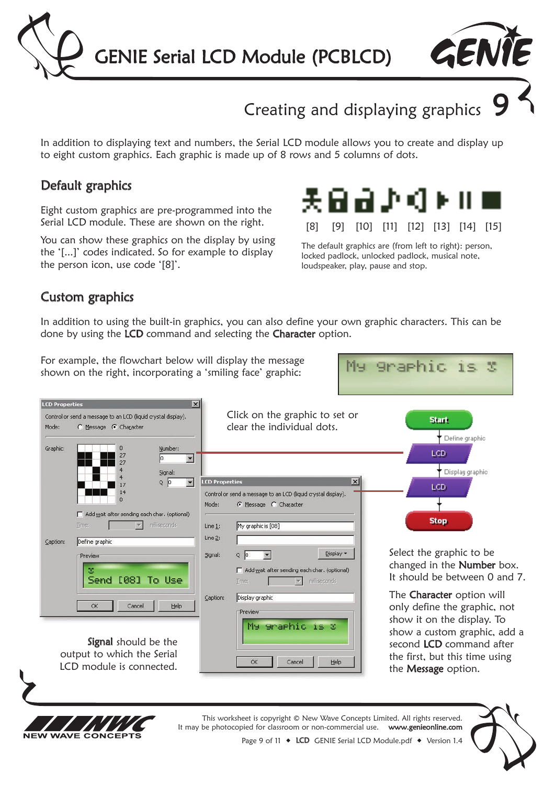



### Creating and displaying graphics

In addition to displaying text and numbers, the Serial LCD module allows you to create and display up to eight custom graphics. Each graphic is made up of 8 rows and 5 columns of dots.

### Default graphics

Eight custom graphics are pre-programmed into the Serial LCD module. These are shown on the right.

You can show these graphics on the display by using the '[...]' codes indicated. So for example to display the person icon, use code '[8]'.



The default graphics are (from left to right): person, locked padlock, unlocked padlock, musical note, loudspeaker, play, pause and stop.

**Sraphic** 

 $T \subseteq$ 

N.

Mu.

#### Custom graphics

In addition to using the built-in graphics, you can also define your own graphic characters. This can be done by using the LCD command and selecting the Character option.

For example, the flowchart below will display the message shown on the right, incorporating a 'smiling face' graphic:





This worksheet is copyright © New Wave Concepts Limited. All rights reserved. It may be photocopied for classroom or non-commercial use. www.genieonline.com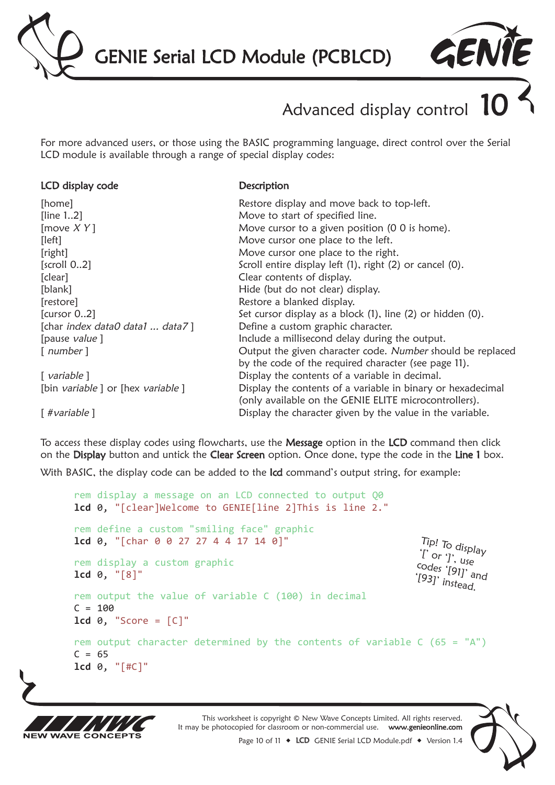



# Advanced display control

For more advanced users, or those using the BASIC programming language, direct control over the Serial LCD module is available through a range of special display codes:

#### LCD display code

**Description** 

| [home]                           | Restore display and move back to top-left.                  |
|----------------------------------|-------------------------------------------------------------|
| [line 12]                        | Move to start of specified line.                            |
| [move $XY$ ]                     | Move cursor to a given position (0 0 is home).              |
| [left]                           | Move cursor one place to the left.                          |
| [right]                          | Move cursor one place to the right.                         |
| $\left[$ scroll 02 $\right]$     | Scroll entire display left (1), right (2) or cancel (0).    |
| [clear]                          | Clear contents of display.                                  |
| [blank]                          | Hide (but do not clear) display.                            |
| [restore]                        | Restore a blanked display.                                  |
| [cursor 02]                      | Set cursor display as a block (1), line (2) or hidden (0).  |
| [char index data0 data1  data7]  | Define a custom graphic character.                          |
| [pause value]                    | Include a millisecond delay during the output.              |
| $\lceil$ number $\rceil$         | Output the given character code. Number should be replaced  |
|                                  | by the code of the required character (see page 11).        |
| $\lceil$ variable $\rceil$       | Display the contents of a variable in decimal.              |
| [bin variable] or [hex variable] | Display the contents of a variable in binary or hexadecimal |
|                                  | (only available on the GENIE ELITE microcontrollers).       |
| [#variable]                      | Display the character given by the value in the variable.   |

To access these display codes using flowcharts, use the Message option in the LCD command then click on the Display button and untick the Clear Screen option. Once done, type the code in the Line 1 box. With BASIC, the display code can be added to the Icd command's output string, for example:

rem display a message on an LCD connected to output Q0 **lcd** 0, "[clear]Welcome to GENIE[line 2]This is line 2." rem define a custom "smiling face" graphic **lcd** 0, "[char 0 0 27 27 4 4 17 14 0]" rem display a custom graphic **lcd** 0, "[8]" rem output the value of variable C (100) in decimal  $C = 100$  $1cd \theta$ , "Score =  $[C]$ " rem output character determined by the contents of variable  $C(65 = "A")$  $C = 65$ **lcd** 0, "[#C]"  $\int_{0}^{1}$  or  $\int_{0}^{1}$ , use Tip! To display<br>'I` or '1' codes '[91]' and [93]' instead.



This worksheet is copyright © New Wave Concepts Limited. All rights reserved. It may be photocopied for classroom or non-commercial use. www.genieonline.com

Page 10 of 11  $\bullet$  LCD GENIE Serial LCD Module.pdf  $\bullet$  Version 1.4